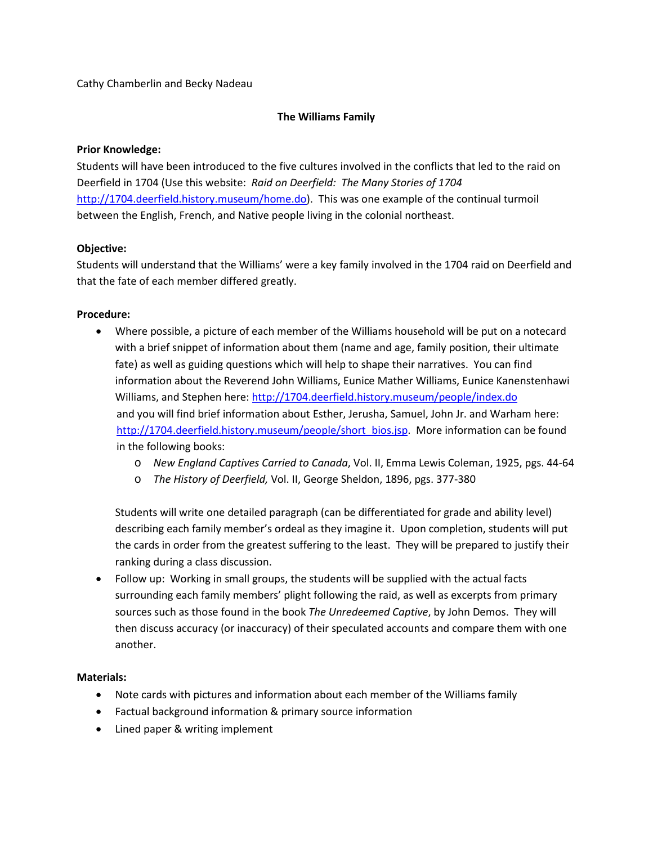## Cathy Chamberlin and Becky Nadeau

## **The Williams Family**

## **Prior Knowledge:**

Students will have been introduced to the five cultures involved in the conflicts that led to the raid on Deerfield in 1704 (Use this website: *Raid on Deerfield: The Many Stories of 1704* [http://1704.deerfield.history.museum/home.do\)](http://1704.deerfield.history.museum/home.do). This was one example of the continual turmoil between the English, French, and Native people living in the colonial northeast.

## **Objective:**

Students will understand that the Williams' were a key family involved in the 1704 raid on Deerfield and that the fate of each member differed greatly.

## **Procedure:**

- Where possible, a picture of each member of the Williams household will be put on a notecard with a brief snippet of information about them (name and age, family position, their ultimate fate) as well as guiding questions which will help to shape their narratives. You can find information about the Reverend John Williams, Eunice Mather Williams, Eunice Kanenstenhawi Williams, and Stephen here:<http://1704.deerfield.history.museum/people/index.do> and you will find brief information about Esther, Jerusha, Samuel, John Jr. and Warham here: [http://1704.deerfield.history.museum/people/short\\_bios.jsp.](http://1704.deerfield.history.museum/people/short_bios.jsp) More information can be found in the following books:
	- o *New England Captives Carried to Canada*, Vol. II, Emma Lewis Coleman, 1925, pgs. 44-64
	- o *The History of Deerfield,* Vol. II, George Sheldon, 1896, pgs. 377-380

Students will write one detailed paragraph (can be differentiated for grade and ability level) describing each family member's ordeal as they imagine it. Upon completion, students will put the cards in order from the greatest suffering to the least. They will be prepared to justify their ranking during a class discussion.

• Follow up: Working in small groups, the students will be supplied with the actual facts surrounding each family members' plight following the raid, as well as excerpts from primary sources such as those found in the book *The Unredeemed Captive*, by John Demos. They will then discuss accuracy (or inaccuracy) of their speculated accounts and compare them with one another.

## **Materials:**

- Note cards with pictures and information about each member of the Williams family
- Factual background information & primary source information
- Lined paper & writing implement